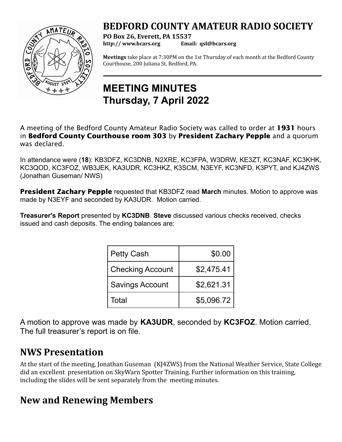### **BEDFORD COUNTY AMATEUR RADIO SOCIETY**



**PO Box 26, Everett, PA 15537 http:// [www.bcars.org](http://www.bcars.org) Email: qsl@bcars.org**

**Meetings** take place at 7:30PM on the 1st Thursday of each month at the Bedford County Courthouse, 200 Juliana St, Bedford, PA.

## **MEETING MINUTES Thursday, 7 April 2022**

A meeting of the Bedford County Amateur Radio Society was called to order at 1931 hours in Bedford County Courthouse room 303 by President Zachary Pepple and a quorum was declared.

In attendance were (**18**): KB3DFZ, KC3DNB, N2XRE, KC3FPA, W3DRW, KE3ZT, KC3NAF, KC3KHK, KC3QOD, KC3FOZ, WB3JEK, KA3UDR, KC3HKZ, K3SCM, N3EYF, KC3NFD, K3PYT, and KJ4ZWS (Jonathan Guseman/ NWS)

President Zachary Pepple requested that KB3DFZ read **March** minutes. Motion to approve was made by N3EYF and seconded by KA3UDR. Motion carried.

**Treasurer's Report** presented by **KC3DNB**. **Steve** discussed various checks received, checks issued and cash deposits. The ending balances are:

| Petty Cash       | \$0.00     |
|------------------|------------|
| Checking Account | \$2,475.41 |
| Savings Account  | \$2,621.31 |
| l Total          | \$5,096.72 |

A motion to approve was made by **KA3UDR**, seconded by **KC3FOZ**. Motion carried. The full treasurer's report is on file.

#### **NWS Presentation**

At the start of the meeting, Jonathan Guseman (KJ4ZWS) from the National Weather Service, State College did an excellent presentation on SkyWarn Spotter Training. Further information on this training, including the slides will be sent separately from the meeting minutes.

#### **New and Renewing Members**